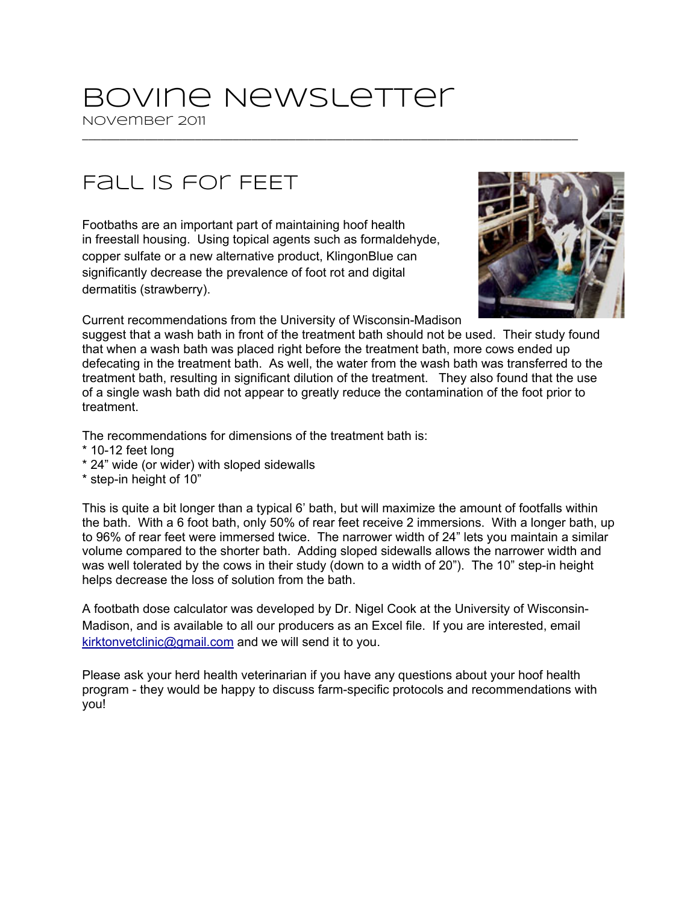## Bovine Newsletter

November 2011 \_\_\_\_\_\_\_\_\_\_\_\_\_\_\_\_\_\_\_\_\_\_\_\_\_\_\_\_\_\_\_\_\_\_\_\_\_\_\_\_\_\_\_\_\_\_\_\_\_\_\_\_\_\_\_\_\_\_\_\_\_\_\_\_\_\_\_\_\_\_\_\_\_\_\_\_\_\_\_

## Fall is for FEET

Footbaths are an important part of maintaining hoof health in freestall housing. Using topical agents such as formaldehyde, copper sulfate or a new alternative product, KlingonBlue can significantly decrease the prevalence of foot rot and digital dermatitis (strawberry).



Current recommendations from the University of Wisconsin-Madison

suggest that a wash bath in front of the treatment bath should not be used. Their study found that when a wash bath was placed right before the treatment bath, more cows ended up defecating in the treatment bath. As well, the water from the wash bath was transferred to the treatment bath, resulting in significant dilution of the treatment. They also found that the use of a single wash bath did not appear to greatly reduce the contamination of the foot prior to treatment.

The recommendations for dimensions of the treatment bath is:

- $*$  10-12 feet long
- \* 24" wide (or wider) with sloped sidewalls
- \* step-in height of 10"

This is quite a bit longer than a typical 6' bath, but will maximize the amount of footfalls within the bath. With a 6 foot bath, only 50% of rear feet receive 2 immersions. With a longer bath, up to 96% of rear feet were immersed twice. The narrower width of 24" lets you maintain a similar volume compared to the shorter bath. Adding sloped sidewalls allows the narrower width and was well tolerated by the cows in their study (down to a width of 20"). The 10" step-in height helps decrease the loss of solution from the bath.

A footbath dose calculator was developed by Dr. Nigel Cook at the University of Wisconsin-Madison, and is available to all our producers as an Excel file. If you are interested, email [kirktonvetclinic@gmail.com](mailto:kirktonvetclinic@gmail.com) and we will send it to you.

Please ask your herd health veterinarian if you have any questions about your hoof health program - they would be happy to discuss farm-specific protocols and recommendations with you!